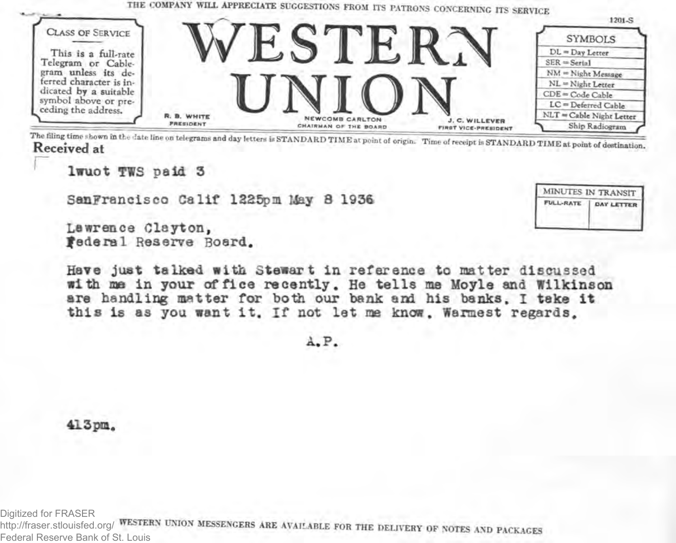

The filing time shown in the date line on telegrams and day letters is STANDARD TIME at point of origin. Time of receipt is STANDARD TIME at point of destination. Received at

MINUTES IN TRANSIT

**DAY LETTER** 

**FULL-RATE** 

lwuot TWS paid 3

SanFrancisco Calif 1225pm May 8 1936

Lawrence Clayton. Federal Reserve Board.

Have just talked with Stewart in reference to matter discussed with me in your of fice recently. He tells me Moyle and Wilkinson are handling matter for both our bank and his banks. I take it this is as you want it. If not let me know. Warmest regards.

A.P.

 $413$ pm.

Digitized for FRASER http://fraser.stlouisfed.org/ WESTERN UNION MESSENGERS ARE AVAILABLE FOR THE DELIVERY OF NOTES AND PACKAGES Federal Reserve Bank of St. Louis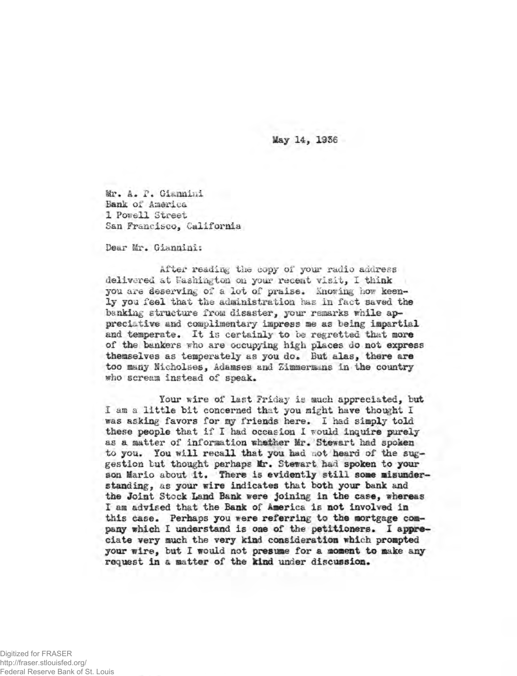May 14, 1956

Mr. A. P. Giannini Bank of America 1 Powell Street San Francisco, California

Dear Mr. Giannini:

After reading the copy of your radio address delivered at Washington on your recent visit, I think you are deserving of a lot of praise. Showing how keenly you feel that the administration has in fact saved the banking structure from disaster, your remarks while appreciative and complimentary impress me as being impartial and temperate, It is certainly to he regretted that more of the bankers who are occupying high places do not express themselves as temperately as you do. But alas, there are too many Nicholses, Adamses and Zimmermans in the country who scream instead of speak.

Your wire of last Friday is much appreciated, but I am a little bit concerned that you might have thought I was asking favors for my friends here. I had simply told these people that if I had occasion X would inquire **purely** as a matter of information whether Mr. Stewart had spoken to you. You will recall that you had not heard of the suggestion but thought perhaps Mr. Stewart had spoken to your son Mario about it. There is evidently still some misunderstanding, as your wire indicates that both your bank and the Joint Stock Land Bank were joining in the case, whereas I am advised that the Bank of America is not involved in this case. Perhaps you were referring to the mortgage company which I understand is one of the petitioners. 1 appreciate very much the very kind consideration which prompted your wire, but I would not presume for a moment to make any request in a matter of the kind under discussion.

Digitized for FRASER http://fraser.stlouisfed.org/ Federal Reserve Bank of St. Louis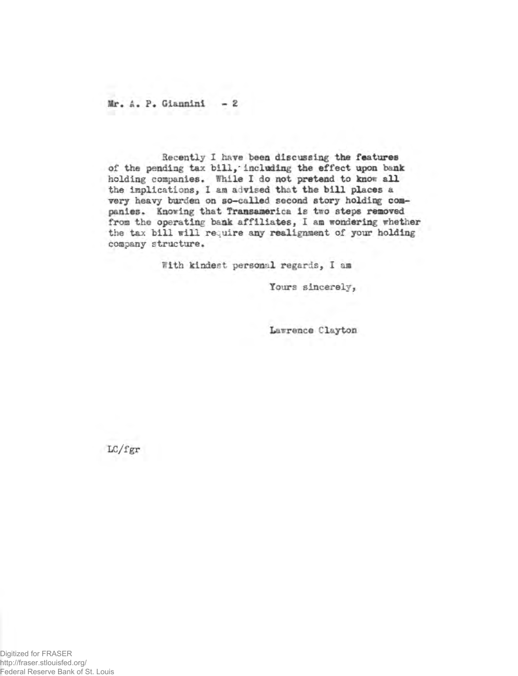**Mr. A. P. Giannini - 2**

**Recently I have been discussing the features of the pending tax bill,'including the effect upon bank** holding companies. While I do not pretend to know all **the implications, 1 am advised that the bill places a very heavy burden on so-called second story holding companies. Knowing that Transaaerica is tiro steps removed from the operating bank affiliates, I am wondering whether the tax bill will require any realignment of your holding company structure.**

**With kindest personal regards, I am**

Tours sincerely,

**Larrence Clayton**

LC/fgr